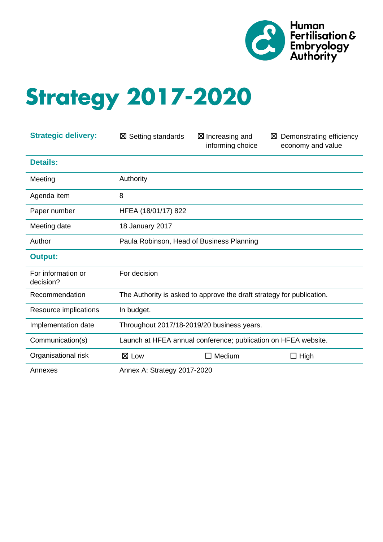

# **Strategy 2017-2020**

| <b>Strategic delivery:</b>      | $\boxtimes$ Setting standards                                         | $\boxtimes$ Increasing and<br>informing choice | Demonstrating efficiency<br>⊠<br>economy and value |
|---------------------------------|-----------------------------------------------------------------------|------------------------------------------------|----------------------------------------------------|
| <b>Details:</b>                 |                                                                       |                                                |                                                    |
| Meeting                         | Authority                                                             |                                                |                                                    |
| Agenda item                     | 8                                                                     |                                                |                                                    |
| Paper number                    | HFEA (18/01/17) 822                                                   |                                                |                                                    |
| Meeting date                    | 18 January 2017                                                       |                                                |                                                    |
| Author                          | Paula Robinson, Head of Business Planning                             |                                                |                                                    |
| <b>Output:</b>                  |                                                                       |                                                |                                                    |
| For information or<br>decision? | For decision                                                          |                                                |                                                    |
| Recommendation                  | The Authority is asked to approve the draft strategy for publication. |                                                |                                                    |
| Resource implications           | In budget.                                                            |                                                |                                                    |
| Implementation date             | Throughout 2017/18-2019/20 business years.                            |                                                |                                                    |
| Communication(s)                | Launch at HFEA annual conference; publication on HFEA website.        |                                                |                                                    |
| Organisational risk             | $\boxtimes$ Low                                                       | Medium<br>$\Box$                               | $\Box$ High                                        |
| Annexes                         | Annex A: Strategy 2017-2020                                           |                                                |                                                    |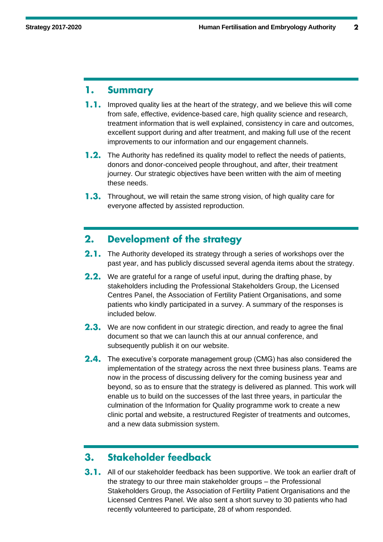#### **Summary** 1.

- **1.1.** Improved quality lies at the heart of the strategy, and we believe this will come from safe, effective, evidence-based care, high quality science and research, treatment information that is well explained, consistency in care and outcomes, excellent support during and after treatment, and making full use of the recent improvements to our information and our engagement channels.
- **1.2.** The Authority has redefined its quality model to reflect the needs of patients, donors and donor-conceived people throughout, and after, their treatment journey. Our strategic objectives have been written with the aim of meeting these needs.
- **1.3.** Throughout, we will retain the same strong vision, of high quality care for everyone affected by assisted reproduction.

#### **Development of the strategy**  $2.$

- 2.1. The Authority developed its strategy through a series of workshops over the past year, and has publicly discussed several agenda items about the strategy.
- **2.2.** We are grateful for a range of useful input, during the drafting phase, by stakeholders including the Professional Stakeholders Group, the Licensed Centres Panel, the Association of Fertility Patient Organisations, and some patients who kindly participated in a survey. A summary of the responses is included below.
- **2.3.** We are now confident in our strategic direction, and ready to agree the final document so that we can launch this at our annual conference, and subsequently publish it on our website.
- **2.4.** The executive's corporate management group (CMG) has also considered the implementation of the strategy across the next three business plans. Teams are now in the process of discussing delivery for the coming business year and beyond, so as to ensure that the strategy is delivered as planned. This work will enable us to build on the successes of the last three years, in particular the culmination of the Information for Quality programme work to create a new clinic portal and website, a restructured Register of treatments and outcomes, and a new data submission system.

#### Stakeholder feedback  $\mathbf{3}$ .

3.1. All of our stakeholder feedback has been supportive. We took an earlier draft of the strategy to our three main stakeholder groups – the Professional Stakeholders Group, the Association of Fertility Patient Organisations and the Licensed Centres Panel. We also sent a short survey to 30 patients who had recently volunteered to participate, 28 of whom responded.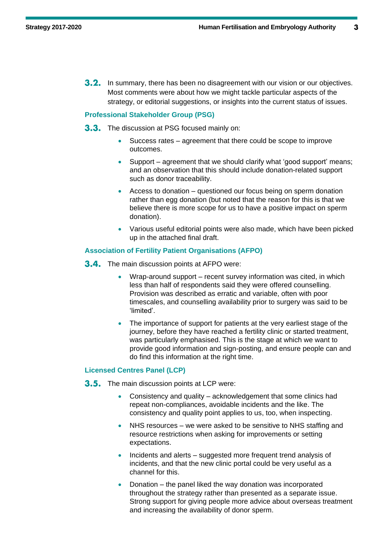**3.2.** In summary, there has been no disagreement with our vision or our objectives. Most comments were about how we might tackle particular aspects of the strategy, or editorial suggestions, or insights into the current status of issues.

#### **Professional Stakeholder Group (PSG)**

**3.3.** The discussion at PSG focused mainly on:

- Success rates agreement that there could be scope to improve outcomes.
- Support agreement that we should clarify what 'good support' means; and an observation that this should include donation-related support such as donor traceability.
- Access to donation questioned our focus being on sperm donation rather than egg donation (but noted that the reason for this is that we believe there is more scope for us to have a positive impact on sperm donation).
- Various useful editorial points were also made, which have been picked up in the attached final draft.

#### **Association of Fertility Patient Organisations (AFPO)**

- **3.4.** The main discussion points at AFPO were:
	- Wrap-around support recent survey information was cited, in which less than half of respondents said they were offered counselling. Provision was described as erratic and variable, often with poor timescales, and counselling availability prior to surgery was said to be 'limited'.
	- The importance of support for patients at the very earliest stage of the journey, before they have reached a fertility clinic or started treatment, was particularly emphasised. This is the stage at which we want to provide good information and sign-posting, and ensure people can and do find this information at the right time.

#### **Licensed Centres Panel (LCP)**

- **3.5.** The main discussion points at LCP were:
	- Consistency and quality acknowledgement that some clinics had repeat non-compliances, avoidable incidents and the like. The consistency and quality point applies to us, too, when inspecting.
	- NHS resources we were asked to be sensitive to NHS staffing and resource restrictions when asking for improvements or setting expectations.
	- Incidents and alerts suggested more frequent trend analysis of incidents, and that the new clinic portal could be very useful as a channel for this.
	- Donation the panel liked the way donation was incorporated throughout the strategy rather than presented as a separate issue. Strong support for giving people more advice about overseas treatment and increasing the availability of donor sperm.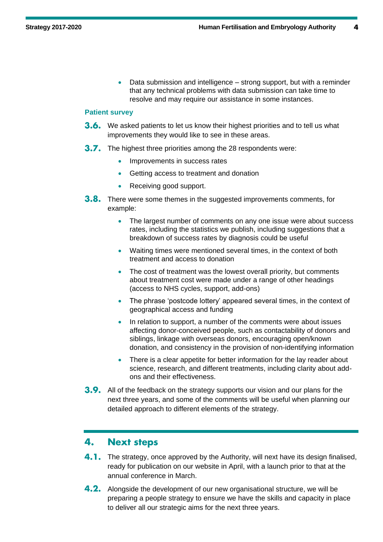• Data submission and intelligence – strong support, but with a reminder that any technical problems with data submission can take time to resolve and may require our assistance in some instances.

#### **Patient survey**

- **3.6.** We asked patients to let us know their highest priorities and to tell us what improvements they would like to see in these areas.
- **3.7.** The highest three priorities among the 28 respondents were:
	- Improvements in success rates
	- Getting access to treatment and donation
	- Receiving good support.
- **3.8.** There were some themes in the suggested improvements comments, for example:
	- The largest number of comments on any one issue were about success rates, including the statistics we publish, including suggestions that a breakdown of success rates by diagnosis could be useful
	- Waiting times were mentioned several times, in the context of both treatment and access to donation
	- The cost of treatment was the lowest overall priority, but comments about treatment cost were made under a range of other headings (access to NHS cycles, support, add-ons)
	- The phrase 'postcode lottery' appeared several times, in the context of geographical access and funding
	- In relation to support, a number of the comments were about issues affecting donor-conceived people, such as contactability of donors and siblings, linkage with overseas donors, encouraging open/known donation, and consistency in the provision of non-identifying information
	- There is a clear appetite for better information for the lay reader about science, research, and different treatments, including clarity about addons and their effectiveness.
- **3.9.** All of the feedback on the strategy supports our vision and our plans for the next three years, and some of the comments will be useful when planning our detailed approach to different elements of the strategy.

#### 4. **Next steps**

- 4.1. The strategy, once approved by the Authority, will next have its design finalised, ready for publication on our website in April, with a launch prior to that at the annual conference in March.
- 4.2. Alongside the development of our new organisational structure, we will be preparing a people strategy to ensure we have the skills and capacity in place to deliver all our strategic aims for the next three years.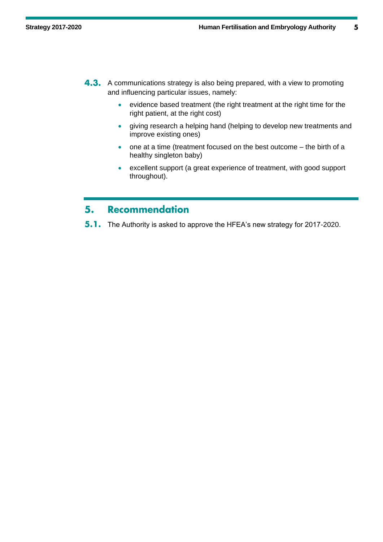5

- **4.3.** A communications strategy is also being prepared, with a view to promoting and influencing particular issues, namely:
	- evidence based treatment (the right treatment at the right time for the right patient, at the right cost)
	- giving research a helping hand (helping to develop new treatments and improve existing ones)
	- one at a time (treatment focused on the best outcome the birth of a healthy singleton baby)
	- excellent support (a great experience of treatment, with good support throughout).

#### **Recommendation** 5.

 $5.1.$ The Authority is asked to approve the HFEA's new strategy for 2017-2020.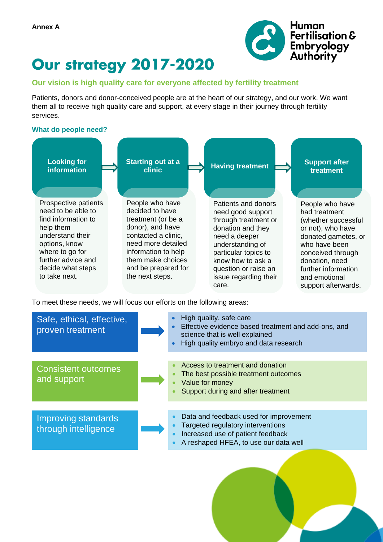

## **Our strategy 2017-2020**

#### **Our vision is high quality care for everyone affected by fertility treatment**

Patients, donors and donor-conceived people are at the heart of our strategy, and our work. We want them all to receive high quality care and support, at every stage in their journey through fertility services.

#### **What do people need?**



To meet these needs, we will focus our efforts on the following areas:

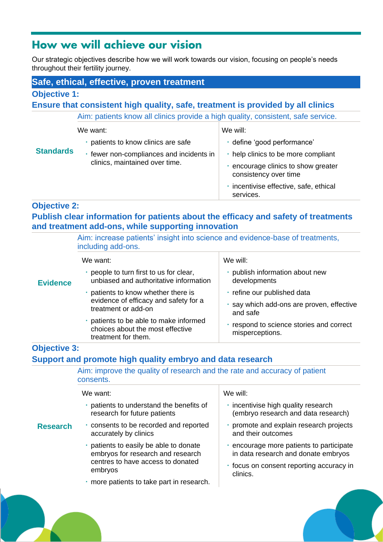### How we will achieve our vision

Our strategic objectives describe how we will work towards our vision, focusing on people's needs throughout their fertility journey.

### **Safe, ethical, effective, proven treatment**

#### **Objective 1:**

**Ensure that consistent high quality, safe, treatment is provided by all clinics**

Aim: patients know all clinics provide a high quality, consistent, safe service.

|                  | We want:                                                                   | We will:                                                     |
|------------------|----------------------------------------------------------------------------|--------------------------------------------------------------|
| <b>Standards</b> | patients to know clinics are safe                                          | · define 'good performance'                                  |
|                  | · fewer non-compliances and incidents in<br>clinics, maintained over time. | help clinics to be more compliant                            |
|                  |                                                                            | · encourage clinics to show greater<br>consistency over time |
|                  |                                                                            | · incentivise effective, safe, ethical<br>services.          |

#### **Objective 2:**

**Research**

**Publish clear information for patients about the efficacy and safety of treatments and treatment add-ons, while supporting innovation**

|                 | Aim: increase patients' insight into science and evidence-base of treatments,<br>including add-ons. |                                                                                    |  |
|-----------------|-----------------------------------------------------------------------------------------------------|------------------------------------------------------------------------------------|--|
|                 | We want:                                                                                            | We will:                                                                           |  |
| <b>Evidence</b> | people to turn first to us for clear,<br>unbiased and authoritative information                     | publish information about new<br>developments                                      |  |
|                 | patients to know whether there is<br>evidence of efficacy and safety for a<br>treatment or add-on   | · refine our published data<br>say which add-ons are proven, effective<br>and safe |  |
|                 | patients to be able to make informed<br>choices about the most effective<br>treatment for them.     | respond to science stories and correct<br>misperceptions.                          |  |

### **Objective 3: Support and promote high quality embryo and data research**

| Aim: improve the quality of research and the rate and accuracy of patient<br>consents. |                                          |
|----------------------------------------------------------------------------------------|------------------------------------------|
| We want:                                                                               | We will:                                 |
| patients to understand the benefits of                                                 | · incentivise high quality research      |
| research for future patients                                                           | (embryo research and data research)      |
| · consents to be recorded and reported                                                 | · promote and explain research projects  |
| accurately by clinics                                                                  | and their outcomes                       |
| patients to easily be able to donate                                                   | . encourage more patients to participate |
| embryos for research and research                                                      | in data research and donate embryos      |
| centres to have access to donated                                                      | • focus on consent reporting accuracy in |
| embryos                                                                                | clinics.                                 |
| · more patients to take part in research.                                              |                                          |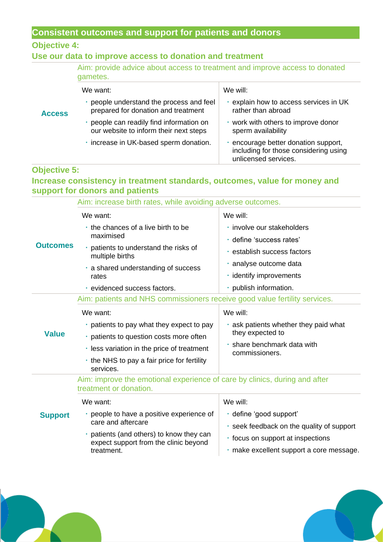### **Consistent outcomes and support for patients and donors**

#### **Objective 4:**

### **Use our data to improve access to donation and treatment**

|               | Aim: provide advice about access to treatment and improve access to donated<br>gametes. |                                                                                                     |
|---------------|-----------------------------------------------------------------------------------------|-----------------------------------------------------------------------------------------------------|
|               | We want:                                                                                | We will:                                                                                            |
| <b>Access</b> | people understand the process and feel<br>prepared for donation and treatment           | explain how to access services in UK<br>rather than abroad                                          |
|               | people can readily find information on<br>our website to inform their next steps        | • work with others to improve donor<br>sperm availability                                           |
|               | · increase in UK-based sperm donation.                                                  | encourage better donation support,<br>including for those considering using<br>unlicensed services. |

### **Objective 5:**

### **Increase consistency in treatment standards, outcomes, value for money and support for donors and patients**

| Aim: increase birth rates, while avoiding adverse outcomes. |                                                                                                      |                                                                               |  |
|-------------------------------------------------------------|------------------------------------------------------------------------------------------------------|-------------------------------------------------------------------------------|--|
| <b>Outcomes</b>                                             | We want:                                                                                             | We will:                                                                      |  |
|                                                             | the chances of a live birth to be<br>maximised                                                       | · involve our stakeholders<br>· define 'success rates'                        |  |
|                                                             | · patients to understand the risks of<br>multiple births                                             | · establish success factors                                                   |  |
|                                                             | a shared understanding of success<br>rates                                                           | · analyse outcome data<br>· identify improvements                             |  |
|                                                             | · evidenced success factors.                                                                         | · publish information.                                                        |  |
|                                                             | Aim: patients and NHS commissioners receive good value fertility services.                           |                                                                               |  |
| <b>Value</b>                                                | We want:                                                                                             | We will:                                                                      |  |
|                                                             | • patients to pay what they expect to pay                                                            | ask patients whether they paid what                                           |  |
|                                                             | · patients to question costs more often                                                              | they expected to                                                              |  |
|                                                             | . less variation in the price of treatment                                                           | · share benchmark data with<br>commissioners.                                 |  |
|                                                             | the NHS to pay a fair price for fertility<br>services.                                               |                                                                               |  |
|                                                             | Aim: improve the emotional experience of care by clinics, during and after<br>treatment or donation. |                                                                               |  |
| <b>Support</b>                                              | We want:                                                                                             | We will:                                                                      |  |
|                                                             | · people to have a positive experience of<br>care and aftercare                                      | · define 'good support'<br>. seek feedback on the quality of support          |  |
|                                                             | patients (and others) to know they can<br>×,<br>expect support from the clinic beyond<br>treatment.  | · focus on support at inspections<br>· make excellent support a core message. |  |